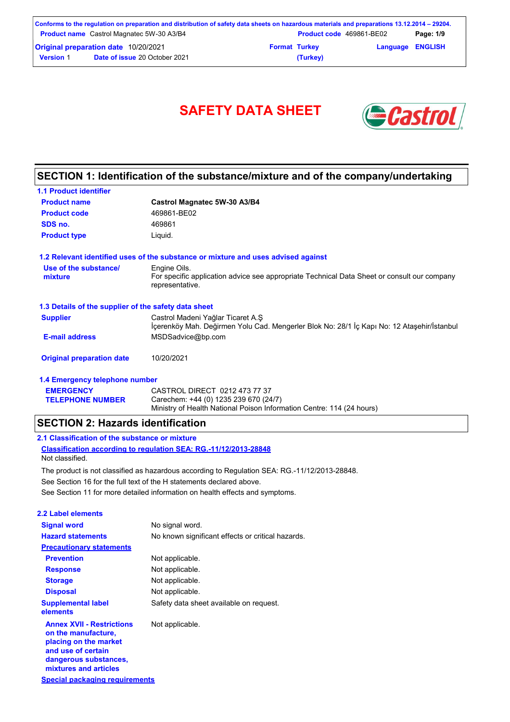|                  | Conforms to the regulation on preparation and distribution of safety data sheets on hazardous materials and preparations 13.12.2014 – 29204. |                      |                                 |                         |           |
|------------------|----------------------------------------------------------------------------------------------------------------------------------------------|----------------------|---------------------------------|-------------------------|-----------|
|                  | <b>Product name</b> Castrol Magnatec 5W-30 A3/B4                                                                                             |                      | <b>Product code</b> 469861-BE02 |                         | Page: 1/9 |
|                  | <b>Original preparation date 10/20/2021</b>                                                                                                  | <b>Format Turkey</b> |                                 | <b>Language ENGLISH</b> |           |
| <b>Version 1</b> | <b>Date of issue 20 October 2021</b>                                                                                                         |                      | (Turkey)                        |                         |           |

# SAFETY DATA SHEET **& Castro**



# **SECTION 1: Identification of the substance/mixture and of the company/undertaking**

| <b>1.1 Product identifier</b>                        |                                                                                                                                  |
|------------------------------------------------------|----------------------------------------------------------------------------------------------------------------------------------|
| <b>Product name</b>                                  | Castrol Magnatec 5W-30 A3/B4                                                                                                     |
| <b>Product code</b>                                  | 469861-BE02                                                                                                                      |
| SDS no.                                              | 469861                                                                                                                           |
| <b>Product type</b>                                  | Liquid.                                                                                                                          |
|                                                      | 1.2 Relevant identified uses of the substance or mixture and uses advised against                                                |
| Use of the substance/<br>mixture                     | Engine Oils.<br>For specific application advice see appropriate Technical Data Sheet or consult our company<br>representative.   |
| 1.3 Details of the supplier of the safety data sheet |                                                                                                                                  |
| <b>Supplier</b>                                      | Castrol Madeni Yağlar Ticaret A.S.<br>Icerenköy Mah. Değirmen Yolu Cad. Mengerler Blok No: 28/1 İç Kapı No: 12 Ataşehir/İstanbul |
| <b>E-mail address</b>                                | MSDSadvice@bp.com                                                                                                                |
| <b>Original preparation date</b>                     | 10/20/2021                                                                                                                       |
| 1.4 Emergency telephone number                       |                                                                                                                                  |
| <b>EMERGENCY</b>                                     | CASTROL DIRECT 0212 473 77 37                                                                                                    |

Ministry of Health National Poison Information Centre: 114 (24 hours)

## **SECTION 2: Hazards identification**

### **2.1 Classification of the substance or mixture**

**TELEPHONE NUMBER**

**Classification according to regulation SEA: RG.-11/12/2013-28848** Not classified.

See Section 11 for more detailed information on health effects and symptoms. See Section 16 for the full text of the H statements declared above. The product is not classified as hazardous according to Regulation SEA: RG.-11/12/2013-28848.

Carechem: +44 (0) 1235 239 670 (24/7)

| 2.2 Label elements                                                                                                                                       |                                                   |
|----------------------------------------------------------------------------------------------------------------------------------------------------------|---------------------------------------------------|
| <b>Signal word</b>                                                                                                                                       | No signal word.                                   |
| <b>Hazard statements</b>                                                                                                                                 | No known significant effects or critical hazards. |
| <b>Precautionary statements</b>                                                                                                                          |                                                   |
| <b>Prevention</b>                                                                                                                                        | Not applicable.                                   |
| <b>Response</b>                                                                                                                                          | Not applicable.                                   |
| <b>Storage</b>                                                                                                                                           | Not applicable.                                   |
| <b>Disposal</b>                                                                                                                                          | Not applicable.                                   |
| <b>Supplemental label</b><br>elements                                                                                                                    | Safety data sheet available on request.           |
| <b>Annex XVII - Restrictions</b><br>on the manufacture,<br>placing on the market<br>and use of certain<br>dangerous substances,<br>mixtures and articles | Not applicable.                                   |
| <b>Special packaging requirements</b>                                                                                                                    |                                                   |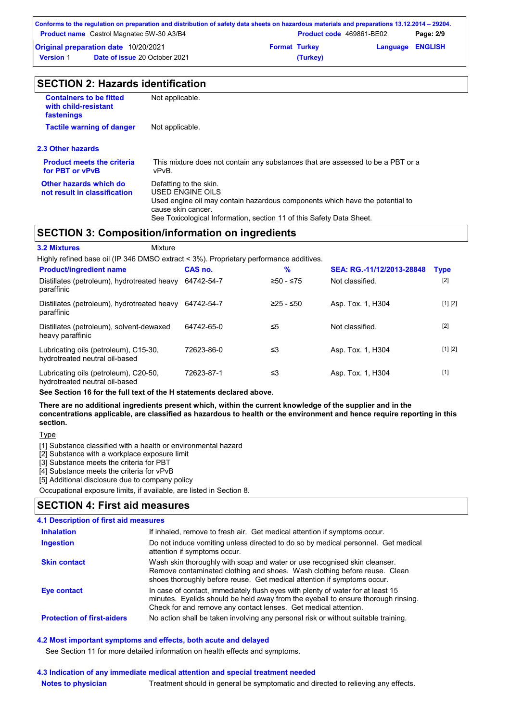|                  | Conforms to the regulation on preparation and distribution of safety data sheets on hazardous materials and preparations 13.12.2014 – 29204. |                      |                                 |                         |           |
|------------------|----------------------------------------------------------------------------------------------------------------------------------------------|----------------------|---------------------------------|-------------------------|-----------|
|                  | <b>Product name</b> Castrol Magnatec 5W-30 A3/B4                                                                                             |                      | <b>Product code</b> 469861-BE02 |                         | Page: 2/9 |
|                  | <b>Original preparation date 10/20/2021</b>                                                                                                  | <b>Format Turkey</b> |                                 | <b>Language ENGLISH</b> |           |
| <b>Version 1</b> | <b>Date of issue 20 October 2021</b>                                                                                                         |                      | (Turkey)                        |                         |           |

| <b>Containers to be fitted</b><br>with child-resistant<br>fastenings | Not applicable.                                                                                                                                                                                                          |
|----------------------------------------------------------------------|--------------------------------------------------------------------------------------------------------------------------------------------------------------------------------------------------------------------------|
| <b>Tactile warning of danger</b>                                     | Not applicable.                                                                                                                                                                                                          |
| 2.3 Other hazards                                                    |                                                                                                                                                                                                                          |
| <b>Product meets the criteria</b><br>for PBT or vPvB                 | This mixture does not contain any substances that are assessed to be a PBT or a<br>vPvB.                                                                                                                                 |
| Other hazards which do<br>not result in classification               | Defatting to the skin.<br>USED ENGINE OILS<br>Used engine oil may contain hazardous components which have the potential to<br>cause skin cancer.<br>See Toxicological Information, section 11 of this Safety Data Sheet. |
|                                                                      | <b>SECTION 3: Composition/information on ingredients</b>                                                                                                                                                                 |

| <b>3.2 Mixtures</b>                                                                    | Mixture    |             |                           |             |
|----------------------------------------------------------------------------------------|------------|-------------|---------------------------|-------------|
| Highly refined base oil (IP 346 DMSO extract < 3%). Proprietary performance additives. |            |             |                           |             |
| <b>Product/ingredient name</b>                                                         | CAS no.    | $\%$        | SEA: RG.-11/12/2013-28848 | <b>Type</b> |
| Distillates (petroleum), hydrotreated heavy<br>paraffinic                              | 64742-54-7 | $≥50 - ≤75$ | Not classified.           | $[2]$       |
| Distillates (petroleum), hydrotreated heavy<br>paraffinic                              | 64742-54-7 | $≥25 - ≤50$ | Asp. Tox. 1, H304         | [1] [2]     |
| Distillates (petroleum), solvent-dewaxed<br>heavy paraffinic                           | 64742-65-0 | ≤5          | Not classified.           | $[2]$       |
| Lubricating oils (petroleum), C15-30,<br>hydrotreated neutral oil-based                | 72623-86-0 | ≤3          | Asp. Tox. 1, H304         | [1] [2]     |
| Lubricating oils (petroleum), C20-50,<br>hydrotreated neutral oil-based                | 72623-87-1 | ≤3          | Asp. Tox. 1, H304         | $[1]$       |

**See Section 16 for the full text of the H statements declared above.**

**There are no additional ingredients present which, within the current knowledge of the supplier and in the concentrations applicable, are classified as hazardous to health or the environment and hence require reporting in this section.**

**Type** 

[1] Substance classified with a health or environmental hazard

[2] Substance with a workplace exposure limit

[3] Substance meets the criteria for PBT

[4] Substance meets the criteria for vPvB

[5] Additional disclosure due to company policy

Occupational exposure limits, if available, are listed in Section 8.

## **SECTION 4: First aid measures**

| 4.1 Description of first aid measures |                                                                                                                                                                                                                                         |
|---------------------------------------|-----------------------------------------------------------------------------------------------------------------------------------------------------------------------------------------------------------------------------------------|
| <b>Inhalation</b>                     | If inhaled, remove to fresh air. Get medical attention if symptoms occur.                                                                                                                                                               |
| <b>Ingestion</b>                      | Do not induce vomiting unless directed to do so by medical personnel. Get medical<br>attention if symptoms occur.                                                                                                                       |
| <b>Skin contact</b>                   | Wash skin thoroughly with soap and water or use recognised skin cleanser.<br>Remove contaminated clothing and shoes. Wash clothing before reuse. Clean<br>shoes thoroughly before reuse. Get medical attention if symptoms occur.       |
| Eye contact                           | In case of contact, immediately flush eyes with plenty of water for at least 15<br>minutes. Eyelids should be held away from the eyeball to ensure thorough rinsing.<br>Check for and remove any contact lenses. Get medical attention. |
| <b>Protection of first-aiders</b>     | No action shall be taken involving any personal risk or without suitable training.                                                                                                                                                      |

### **4.2 Most important symptoms and effects, both acute and delayed**

See Section 11 for more detailed information on health effects and symptoms.

#### **Notes to physician 4.3 Indication of any immediate medical attention and special treatment needed** Treatment should in general be symptomatic and directed to relieving any effects.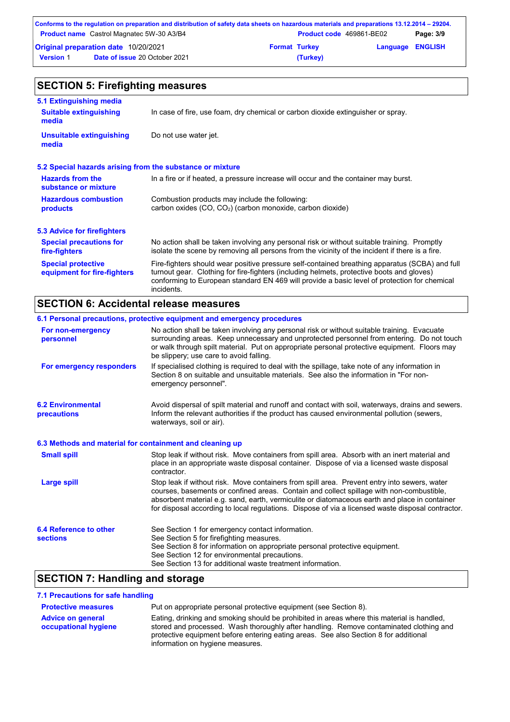|                  | Conforms to the regulation on preparation and distribution of safety data sheets on hazardous materials and preparations 13.12.2014 – 29204. |                      |                          |           |
|------------------|----------------------------------------------------------------------------------------------------------------------------------------------|----------------------|--------------------------|-----------|
|                  | <b>Product name</b> Castrol Magnatec 5W-30 A3/B4                                                                                             |                      | Product code 469861-BE02 | Page: 3/9 |
|                  | <b>Original preparation date 10/20/2021</b>                                                                                                  | <b>Format Turkey</b> | <b>Language ENGLISH</b>  |           |
| <b>Version 1</b> | <b>Date of issue 20 October 2021</b>                                                                                                         | (Turkey)             |                          |           |

#### No action shall be taken involving any personal risk or without suitable training. Promptly isolate the scene by removing all persons from the vicinity of the incident if there is a fire. **Hazardous combustion products Hazards from the substance or mixture** Combustion products may include the following: carbon oxides (CO, CO2) (carbon monoxide, carbon dioxide) In a fire or if heated, a pressure increase will occur and the container may burst. Fire-fighters should wear positive pressure self-contained breathing apparatus (SCBA) and full turnout gear. Clothing for fire-fighters (including helmets, protective boots and gloves) conforming to European standard EN 469 will provide a basic level of protection for chemical incidents. **Special protective equipment for fire-fighters** In case of fire, use foam, dry chemical or carbon dioxide extinguisher or spray. **5.1 Extinguishing media** Do not use water jet. **Suitable extinguishing media Unsuitable extinguishing media SECTION 5: Firefighting measures 5.2 Special hazards arising from the substance or mixture 5.3 Advice for firefighters Special precautions for fire-fighters**

## **SECTION 6: Accidental release measures**

|                                                          | 6.1 Personal precautions, protective equipment and emergency procedures                                                                                                                                                                                                                                                                                                                        |
|----------------------------------------------------------|------------------------------------------------------------------------------------------------------------------------------------------------------------------------------------------------------------------------------------------------------------------------------------------------------------------------------------------------------------------------------------------------|
| For non-emergency<br>personnel                           | No action shall be taken involving any personal risk or without suitable training. Evacuate<br>surrounding areas. Keep unnecessary and unprotected personnel from entering. Do not touch<br>or walk through spilt material. Put on appropriate personal protective equipment. Floors may<br>be slippery; use care to avoid falling.                                                            |
| For emergency responders                                 | If specialised clothing is required to deal with the spillage, take note of any information in<br>Section 8 on suitable and unsuitable materials. See also the information in "For non-<br>emergency personnel".                                                                                                                                                                               |
| <b>6.2 Environmental</b><br><b>precautions</b>           | Avoid dispersal of spilt material and runoff and contact with soil, waterways, drains and sewers.<br>Inform the relevant authorities if the product has caused environmental pollution (sewers,<br>waterways, soil or air).                                                                                                                                                                    |
| 6.3 Methods and material for containment and cleaning up |                                                                                                                                                                                                                                                                                                                                                                                                |
| <b>Small spill</b>                                       | Stop leak if without risk. Move containers from spill area. Absorb with an inert material and<br>place in an appropriate waste disposal container. Dispose of via a licensed waste disposal<br>contractor.                                                                                                                                                                                     |
| <b>Large spill</b>                                       | Stop leak if without risk. Move containers from spill area. Prevent entry into sewers, water<br>courses, basements or confined areas. Contain and collect spillage with non-combustible,<br>absorbent material e.g. sand, earth, vermiculite or diatomaceous earth and place in container<br>for disposal according to local regulations. Dispose of via a licensed waste disposal contractor. |
| 6.4 Reference to other<br><b>sections</b>                | See Section 1 for emergency contact information.<br>See Section 5 for firefighting measures.<br>See Section 8 for information on appropriate personal protective equipment.<br>See Section 12 for environmental precautions.<br>See Section 13 for additional waste treatment information.                                                                                                     |

# **SECTION 7: Handling and storage**

### **7.1 Precautions for safe handling**

| <b>Protective measures</b>                       | Put on appropriate personal protective equipment (see Section 8).                                                                                                                                                                                                                                                |
|--------------------------------------------------|------------------------------------------------------------------------------------------------------------------------------------------------------------------------------------------------------------------------------------------------------------------------------------------------------------------|
| <b>Advice on general</b><br>occupational hygiene | Eating, drinking and smoking should be prohibited in areas where this material is handled,<br>stored and processed. Wash thoroughly after handling. Remove contaminated clothing and<br>protective equipment before entering eating areas. See also Section 8 for additional<br>information on hygiene measures. |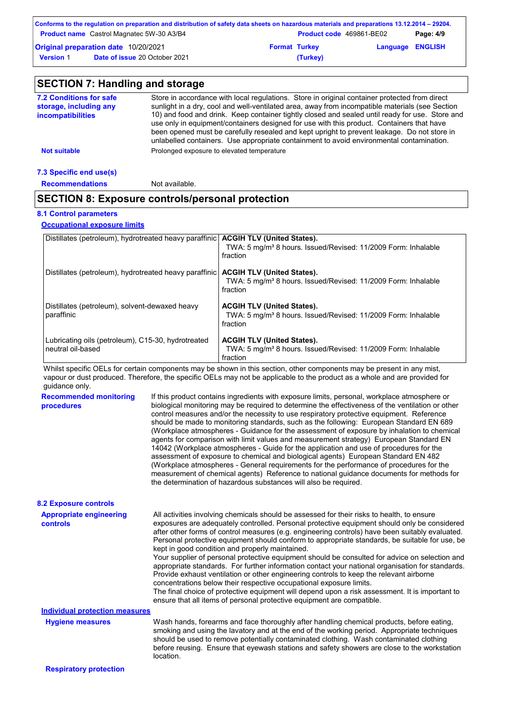|                  | Conforms to the regulation on preparation and distribution of safety data sheets on hazardous materials and preparations 13.12.2014 – 29204. |                      |                          |                         |           |
|------------------|----------------------------------------------------------------------------------------------------------------------------------------------|----------------------|--------------------------|-------------------------|-----------|
|                  | <b>Product name</b> Castrol Magnatec 5W-30 A3/B4                                                                                             |                      | Product code 469861-BE02 |                         | Page: 4/9 |
|                  | Original preparation date 10/20/2021                                                                                                         | <b>Format Turkey</b> |                          | <b>Language ENGLISH</b> |           |
| <b>Version 1</b> | <b>Date of issue 20 October 2021</b>                                                                                                         |                      | (Turkey)                 |                         |           |

| <b>7.2 Conditions for safe</b><br>storage, including any<br>incompatibilities | Store in accordance with local regulations. Store in original container protected from direct<br>sunlight in a dry, cool and well-ventilated area, away from incompatible materials (see Section<br>10) and food and drink. Keep container tightly closed and sealed until ready for use. Store and<br>use only in equipment/containers designed for use with this product. Containers that have<br>been opened must be carefully resealed and kept upright to prevent leakage. Do not store in<br>unlabelled containers. Use appropriate containment to avoid environmental contamination. |
|-------------------------------------------------------------------------------|---------------------------------------------------------------------------------------------------------------------------------------------------------------------------------------------------------------------------------------------------------------------------------------------------------------------------------------------------------------------------------------------------------------------------------------------------------------------------------------------------------------------------------------------------------------------------------------------|
| <b>Not suitable</b>                                                           | Prolonged exposure to elevated temperature                                                                                                                                                                                                                                                                                                                                                                                                                                                                                                                                                  |

| <b>Recommendations</b> | Not available. |
|------------------------|----------------|
|                        |                |

# **SECTION 8: Exposure controls/personal protection**

## **8.1 Control parameters**

**Occupational exposure limits**

| Distillates (petroleum), hydrotreated heavy paraffinic   ACGIH TLV (United States). |                                                                                       |
|-------------------------------------------------------------------------------------|---------------------------------------------------------------------------------------|
|                                                                                     | TWA: 5 mg/m <sup>3</sup> 8 hours. Issued/Revised: 11/2009 Form: Inhalable             |
|                                                                                     | fraction                                                                              |
|                                                                                     |                                                                                       |
| Distillates (petroleum), hydrotreated heavy paraffinic                              | <b>ACGIH TLV (United States).</b>                                                     |
|                                                                                     | TWA: 5 mg/m <sup>3</sup> 8 hours. Issued/Revised: 11/2009 Form: Inhalable             |
|                                                                                     | fraction                                                                              |
|                                                                                     |                                                                                       |
| Distillates (petroleum), solvent-dewaxed heavy<br>paraffinic                        | <b>ACGIH TLV (United States).</b>                                                     |
|                                                                                     | TWA: 5 mg/m <sup>3</sup> 8 hours. Issued/Revised: 11/2009 Form: Inhalable<br>fraction |
|                                                                                     |                                                                                       |
| Lubricating oils (petroleum), C15-30, hydrotreated                                  | <b>ACGIH TLV (United States).</b>                                                     |
| neutral oil-based                                                                   | TWA: 5 mg/m <sup>3</sup> 8 hours. Issued/Revised: 11/2009 Form: Inhalable             |
|                                                                                     | fraction                                                                              |

Whilst specific OELs for certain components may be shown in this section, other components may be present in any mist, vapour or dust produced. Therefore, the specific OELs may not be applicable to the product as a whole and are provided for guidance only.

| <b>Recommended monitoring</b><br>procedures | If this product contains ingredients with exposure limits, personal, workplace atmosphere or<br>biological monitoring may be required to determine the effectiveness of the ventilation or other<br>control measures and/or the necessity to use respiratory protective equipment. Reference<br>should be made to monitoring standards, such as the following: European Standard EN 689<br>(Workplace atmospheres - Guidance for the assessment of exposure by inhalation to chemical<br>agents for comparison with limit values and measurement strategy) European Standard EN<br>14042 (Workplace atmospheres - Guide for the application and use of procedures for the<br>assessment of exposure to chemical and biological agents) European Standard EN 482<br>(Workplace atmospheres - General requirements for the performance of procedures for the<br>measurement of chemical agents) Reference to national guidance documents for methods for<br>the determination of hazardous substances will also be required. |
|---------------------------------------------|----------------------------------------------------------------------------------------------------------------------------------------------------------------------------------------------------------------------------------------------------------------------------------------------------------------------------------------------------------------------------------------------------------------------------------------------------------------------------------------------------------------------------------------------------------------------------------------------------------------------------------------------------------------------------------------------------------------------------------------------------------------------------------------------------------------------------------------------------------------------------------------------------------------------------------------------------------------------------------------------------------------------------|
| <b>8.2 Exposure controls</b>                |                                                                                                                                                                                                                                                                                                                                                                                                                                                                                                                                                                                                                                                                                                                                                                                                                                                                                                                                                                                                                            |
| <b>Appropriate engineering</b><br>controls  | All activities involving chemicals should be assessed for their risks to health, to ensure<br>exposures are adequately controlled. Personal protective equipment should only be considered<br>after other forms of control measures (e.g. engineering controls) have been suitably evaluated.<br>Personal protective equipment should conform to appropriate standards, be suitable for use, be<br>kept in good condition and properly maintained.<br>Your supplier of personal protective equipment should be consulted for advice on selection and<br>appropriate standards. For further information contact your national organisation for standards.<br>Provide exhaust ventilation or other engineering controls to keep the relevant airborne<br>concentrations below their respective occupational exposure limits.<br>The final choice of protective equipment will depend upon a risk assessment. It is important to<br>ensure that all items of personal protective equipment are compatible.                    |
| <b>Individual protection measures</b>       |                                                                                                                                                                                                                                                                                                                                                                                                                                                                                                                                                                                                                                                                                                                                                                                                                                                                                                                                                                                                                            |
| <b>Hygiene measures</b>                     | Wash hands, forearms and face thoroughly after handling chemical products, before eating,<br>smoking and using the lavatory and at the end of the working period. Appropriate techniques<br>should be used to remove potentially contaminated clothing. Wash contaminated clothing<br>before reusing. Ensure that eyewash stations and safety showers are close to the workstation<br>location.                                                                                                                                                                                                                                                                                                                                                                                                                                                                                                                                                                                                                            |

**Respiratory protection**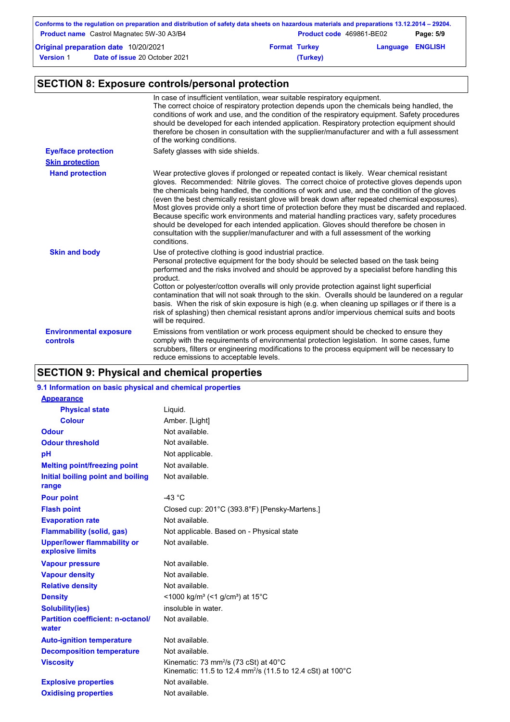|                  | Conforms to the regulation on preparation and distribution of safety data sheets on hazardous materials and preparations 13.12.2014 – 29204. |                      |                          |                         |           |
|------------------|----------------------------------------------------------------------------------------------------------------------------------------------|----------------------|--------------------------|-------------------------|-----------|
|                  | <b>Product name</b> Castrol Magnatec 5W-30 A3/B4                                                                                             |                      | Product code 469861-BE02 |                         | Page: 5/9 |
|                  | Original preparation date 10/20/2021                                                                                                         | <b>Format Turkey</b> |                          | <b>Language ENGLISH</b> |           |
| <b>Version 1</b> | <b>Date of issue 20 October 2021</b>                                                                                                         |                      | (Turkey)                 |                         |           |

# **SECTION 8: Exposure controls/personal protection**

|                                           | In case of insufficient ventilation, wear suitable respiratory equipment.<br>The correct choice of respiratory protection depends upon the chemicals being handled, the<br>conditions of work and use, and the condition of the respiratory equipment. Safety procedures<br>should be developed for each intended application. Respiratory protection equipment should<br>therefore be chosen in consultation with the supplier/manufacturer and with a full assessment<br>of the working conditions.                                                                                                                                                                                                                                                                                        |
|-------------------------------------------|----------------------------------------------------------------------------------------------------------------------------------------------------------------------------------------------------------------------------------------------------------------------------------------------------------------------------------------------------------------------------------------------------------------------------------------------------------------------------------------------------------------------------------------------------------------------------------------------------------------------------------------------------------------------------------------------------------------------------------------------------------------------------------------------|
| <b>Eye/face protection</b>                | Safety glasses with side shields.                                                                                                                                                                                                                                                                                                                                                                                                                                                                                                                                                                                                                                                                                                                                                            |
| <b>Skin protection</b>                    |                                                                                                                                                                                                                                                                                                                                                                                                                                                                                                                                                                                                                                                                                                                                                                                              |
| <b>Hand protection</b>                    | Wear protective gloves if prolonged or repeated contact is likely. Wear chemical resistant<br>gloves. Recommended: Nitrile gloves. The correct choice of protective gloves depends upon<br>the chemicals being handled, the conditions of work and use, and the condition of the gloves<br>(even the best chemically resistant glove will break down after repeated chemical exposures).<br>Most gloves provide only a short time of protection before they must be discarded and replaced.<br>Because specific work environments and material handling practices vary, safety procedures<br>should be developed for each intended application. Gloves should therefore be chosen in<br>consultation with the supplier/manufacturer and with a full assessment of the working<br>conditions. |
| <b>Skin and body</b>                      | Use of protective clothing is good industrial practice.<br>Personal protective equipment for the body should be selected based on the task being<br>performed and the risks involved and should be approved by a specialist before handling this<br>product.<br>Cotton or polyester/cotton overalls will only provide protection against light superficial<br>contamination that will not soak through to the skin. Overalls should be laundered on a regular<br>basis. When the risk of skin exposure is high (e.g. when cleaning up spillages or if there is a<br>risk of splashing) then chemical resistant aprons and/or impervious chemical suits and boots<br>will be required.                                                                                                        |
| <b>Environmental exposure</b><br>controls | Emissions from ventilation or work process equipment should be checked to ensure they<br>comply with the requirements of environmental protection legislation. In some cases, fume<br>scrubbers, filters or engineering modifications to the process equipment will be necessary to<br>reduce emissions to acceptable levels.                                                                                                                                                                                                                                                                                                                                                                                                                                                                |

# **SECTION 9: Physical and chemical properties**

# **9.1 Information on basic physical and chemical properties**

| <b>Appearance</b>                                      |                                                                                                                              |
|--------------------------------------------------------|------------------------------------------------------------------------------------------------------------------------------|
| <b>Physical state</b>                                  | Liquid.                                                                                                                      |
| <b>Colour</b>                                          | Amber. [Light]                                                                                                               |
| <b>Odour</b>                                           | Not available.                                                                                                               |
| <b>Odour threshold</b>                                 | Not available.                                                                                                               |
| pH                                                     | Not applicable.                                                                                                              |
| <b>Melting point/freezing point</b>                    | Not available.                                                                                                               |
| Initial boiling point and boiling<br>range             | Not available.                                                                                                               |
| <b>Pour point</b>                                      | $-43$ °C                                                                                                                     |
| <b>Flash point</b>                                     | Closed cup: 201°C (393.8°F) [Pensky-Martens.]                                                                                |
| <b>Evaporation rate</b>                                | Not available                                                                                                                |
| <b>Flammability (solid, gas)</b>                       | Not applicable. Based on - Physical state                                                                                    |
| <b>Upper/lower flammability or</b><br>explosive limits | Not available.                                                                                                               |
| <b>Vapour pressure</b>                                 | Not available.                                                                                                               |
| <b>Vapour density</b>                                  | Not available.                                                                                                               |
| <b>Relative density</b>                                | Not available.                                                                                                               |
| <b>Density</b>                                         | $\leq$ 1000 kg/m <sup>3</sup> (<1 g/cm <sup>3</sup> ) at 15 <sup>°</sup> C                                                   |
| <b>Solubility(ies)</b>                                 | insoluble in water.                                                                                                          |
| <b>Partition coefficient: n-octanol/</b><br>water      | Not available.                                                                                                               |
| <b>Auto-ignition temperature</b>                       | Not available.                                                                                                               |
| <b>Decomposition temperature</b>                       | Not available.                                                                                                               |
| <b>Viscosity</b>                                       | Kinematic: 73 mm <sup>2</sup> /s (73 cSt) at 40°C<br>Kinematic: 11.5 to 12.4 mm <sup>2</sup> /s (11.5 to 12.4 cSt) at 100 °C |
| <b>Explosive properties</b>                            | Not available.                                                                                                               |
| <b>Oxidising properties</b>                            | Not available.                                                                                                               |
|                                                        |                                                                                                                              |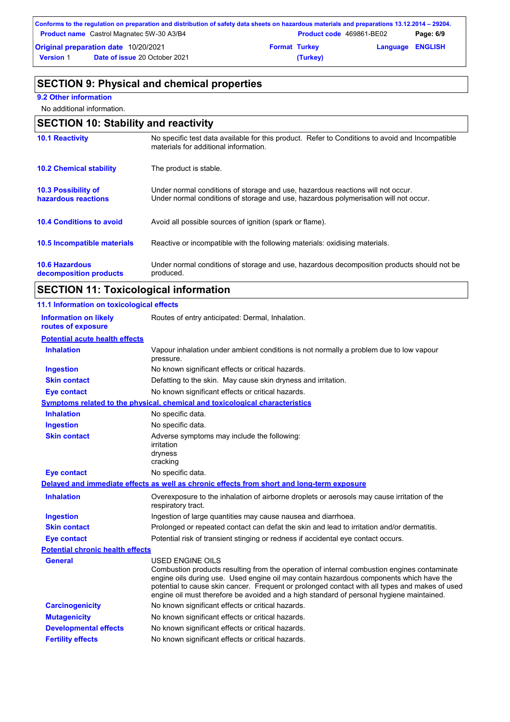|                  | Conforms to the regulation on preparation and distribution of safety data sheets on hazardous materials and preparations 13.12.2014 – 29204. |                      |                          |                         |           |
|------------------|----------------------------------------------------------------------------------------------------------------------------------------------|----------------------|--------------------------|-------------------------|-----------|
|                  | <b>Product name</b> Castrol Magnatec 5W-30 A3/B4                                                                                             |                      | Product code 469861-BE02 |                         | Page: 6/9 |
|                  | Original preparation date 10/20/2021                                                                                                         | <b>Format Turkey</b> |                          | <b>Language ENGLISH</b> |           |
| <b>Version 1</b> | <b>Date of issue 20 October 2021</b>                                                                                                         |                      | (Turkey)                 |                         |           |

# **SECTION 9: Physical and chemical properties**

## **9.2 Other information**

j.

No additional information.

| <b>SECTION 10: Stability and reactivity</b>       |                                                                                                                                                                         |  |
|---------------------------------------------------|-------------------------------------------------------------------------------------------------------------------------------------------------------------------------|--|
| <b>10.1 Reactivity</b>                            | No specific test data available for this product. Refer to Conditions to avoid and Incompatible<br>materials for additional information.                                |  |
| <b>10.2 Chemical stability</b>                    | The product is stable.                                                                                                                                                  |  |
| <b>10.3 Possibility of</b><br>hazardous reactions | Under normal conditions of storage and use, hazardous reactions will not occur.<br>Under normal conditions of storage and use, hazardous polymerisation will not occur. |  |
| <b>10.4 Conditions to avoid</b>                   | Avoid all possible sources of ignition (spark or flame).                                                                                                                |  |
| 10.5 Incompatible materials                       | Reactive or incompatible with the following materials: oxidising materials.                                                                                             |  |
| <b>10.6 Hazardous</b><br>decomposition products   | Under normal conditions of storage and use, hazardous decomposition products should not be<br>produced.                                                                 |  |

# **SECTION 11: Toxicological information**

| 11.1 Information on toxicological effects          |                                                                                                                                                                                                                                                                                                                                                                                                                 |
|----------------------------------------------------|-----------------------------------------------------------------------------------------------------------------------------------------------------------------------------------------------------------------------------------------------------------------------------------------------------------------------------------------------------------------------------------------------------------------|
| <b>Information on likely</b><br>routes of exposure | Routes of entry anticipated: Dermal, Inhalation.                                                                                                                                                                                                                                                                                                                                                                |
| <b>Potential acute health effects</b>              |                                                                                                                                                                                                                                                                                                                                                                                                                 |
| <b>Inhalation</b>                                  | Vapour inhalation under ambient conditions is not normally a problem due to low vapour<br>pressure.                                                                                                                                                                                                                                                                                                             |
| <b>Ingestion</b>                                   | No known significant effects or critical hazards.                                                                                                                                                                                                                                                                                                                                                               |
| <b>Skin contact</b>                                | Defatting to the skin. May cause skin dryness and irritation.                                                                                                                                                                                                                                                                                                                                                   |
| <b>Eye contact</b>                                 | No known significant effects or critical hazards.                                                                                                                                                                                                                                                                                                                                                               |
|                                                    | <b>Symptoms related to the physical, chemical and toxicological characteristics</b>                                                                                                                                                                                                                                                                                                                             |
| <b>Inhalation</b>                                  | No specific data.                                                                                                                                                                                                                                                                                                                                                                                               |
| <b>Ingestion</b>                                   | No specific data.                                                                                                                                                                                                                                                                                                                                                                                               |
| <b>Skin contact</b>                                | Adverse symptoms may include the following:<br>irritation<br>dryness<br>cracking                                                                                                                                                                                                                                                                                                                                |
| <b>Eye contact</b>                                 | No specific data.                                                                                                                                                                                                                                                                                                                                                                                               |
|                                                    | Delayed and immediate effects as well as chronic effects from short and long-term exposure                                                                                                                                                                                                                                                                                                                      |
| <b>Inhalation</b>                                  | Overexposure to the inhalation of airborne droplets or aerosols may cause irritation of the<br>respiratory tract.                                                                                                                                                                                                                                                                                               |
| <b>Ingestion</b>                                   | Ingestion of large quantities may cause nausea and diarrhoea.                                                                                                                                                                                                                                                                                                                                                   |
| <b>Skin contact</b>                                | Prolonged or repeated contact can defat the skin and lead to irritation and/or dermatitis.                                                                                                                                                                                                                                                                                                                      |
| <b>Eye contact</b>                                 | Potential risk of transient stinging or redness if accidental eye contact occurs.                                                                                                                                                                                                                                                                                                                               |
| <b>Potential chronic health effects</b>            |                                                                                                                                                                                                                                                                                                                                                                                                                 |
| <b>General</b>                                     | <b>USED ENGINE OILS</b><br>Combustion products resulting from the operation of internal combustion engines contaminate<br>engine oils during use. Used engine oil may contain hazardous components which have the<br>potential to cause skin cancer. Frequent or prolonged contact with all types and makes of used<br>engine oil must therefore be avoided and a high standard of personal hygiene maintained. |
| <b>Carcinogenicity</b>                             | No known significant effects or critical hazards.                                                                                                                                                                                                                                                                                                                                                               |
| <b>Mutagenicity</b>                                | No known significant effects or critical hazards.                                                                                                                                                                                                                                                                                                                                                               |
| <b>Developmental effects</b>                       | No known significant effects or critical hazards.                                                                                                                                                                                                                                                                                                                                                               |
| <b>Fertility effects</b>                           | No known significant effects or critical hazards.                                                                                                                                                                                                                                                                                                                                                               |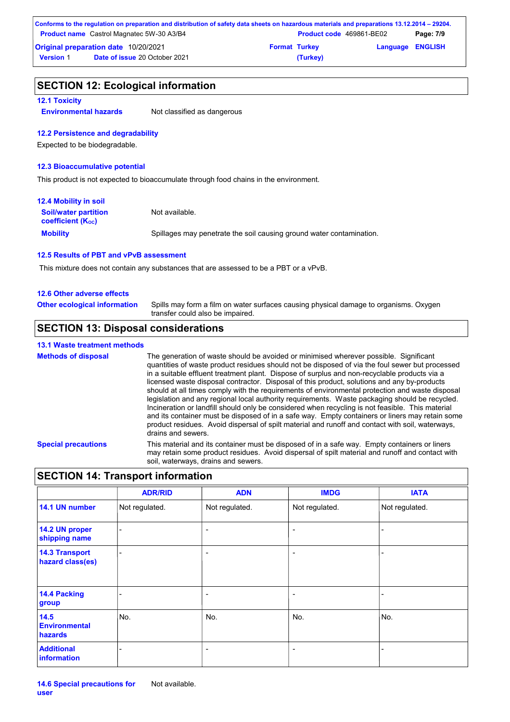|                  | Conforms to the regulation on preparation and distribution of safety data sheets on hazardous materials and preparations 13.12.2014 – 29204. |                      |                                 |                         |           |
|------------------|----------------------------------------------------------------------------------------------------------------------------------------------|----------------------|---------------------------------|-------------------------|-----------|
|                  | <b>Product name</b> Castrol Magnatec 5W-30 A3/B4                                                                                             |                      | <b>Product code</b> 469861-BE02 |                         | Page: 7/9 |
|                  | <b>Original preparation date 10/20/2021</b>                                                                                                  | <b>Format Turkey</b> |                                 | <b>Language ENGLISH</b> |           |
| <b>Version 1</b> | <b>Date of issue 20 October 2021</b>                                                                                                         |                      | (Turkey)                        |                         |           |

### **SECTION 12: Ecological information**

### **12.1 Toxicity**

**Environmental hazards** Not classified as dangerous

### **12.2 Persistence and degradability**

Expected to be biodegradable.

### **12.3 Bioaccumulative potential**

This product is not expected to bioaccumulate through food chains in the environment.

| <b>12.4 Mobility in soil</b>                                  |                                                                      |
|---------------------------------------------------------------|----------------------------------------------------------------------|
| <b>Soil/water partition</b><br>coefficient (K <sub>oc</sub> ) | Not available.                                                       |
| <b>Mobility</b>                                               | Spillages may penetrate the soil causing ground water contamination. |

### **12.5 Results of PBT and vPvB assessment**

This mixture does not contain any substances that are assessed to be a PBT or a vPvB.

### **12.6 Other adverse effects**

Spills may form a film on water surfaces causing physical damage to organisms. Oxygen transfer could also be impaired. **Other ecological information**

## **SECTION 13: Disposal considerations**

### **13.1 Waste treatment methods**

**Special precautions** This material and its container must be disposed of in a safe way. Empty containers or liners may retain some product residues. Avoid dispersal of spilt material and runoff and contact with soil, waterways, drains and sewers. **Methods of disposal** The generation of waste should be avoided or minimised wherever possible. Significant quantities of waste product residues should not be disposed of via the foul sewer but processed in a suitable effluent treatment plant. Dispose of surplus and non-recyclable products via a licensed waste disposal contractor. Disposal of this product, solutions and any by-products should at all times comply with the requirements of environmental protection and waste disposal legislation and any regional local authority requirements. Waste packaging should be recycled. Incineration or landfill should only be considered when recycling is not feasible. This material and its container must be disposed of in a safe way. Empty containers or liners may retain some product residues. Avoid dispersal of spilt material and runoff and contact with soil, waterways, drains and sewers.

## **SECTION 14: Transport information**

|                                           | <b>ADR/RID</b>           | <b>ADN</b>               | <b>IMDG</b>              | <b>IATA</b>    |
|-------------------------------------------|--------------------------|--------------------------|--------------------------|----------------|
| 14.1 UN number                            | Not regulated.           | Not regulated.           | Not regulated.           | Not regulated. |
| 14.2 UN proper<br>shipping name           | $\overline{\phantom{0}}$ | $\overline{\phantom{a}}$ | $\overline{\phantom{a}}$ | -              |
| <b>14.3 Transport</b><br>hazard class(es) |                          | $\overline{ }$           | $\overline{a}$           |                |
| 14.4 Packing<br>group                     |                          | ۰                        | $\overline{a}$           |                |
| 14.5<br><b>Environmental</b><br>hazards   | No.                      | No.                      | No.                      | No.            |
| <b>Additional</b><br>information          |                          | ۰                        | $\overline{a}$           |                |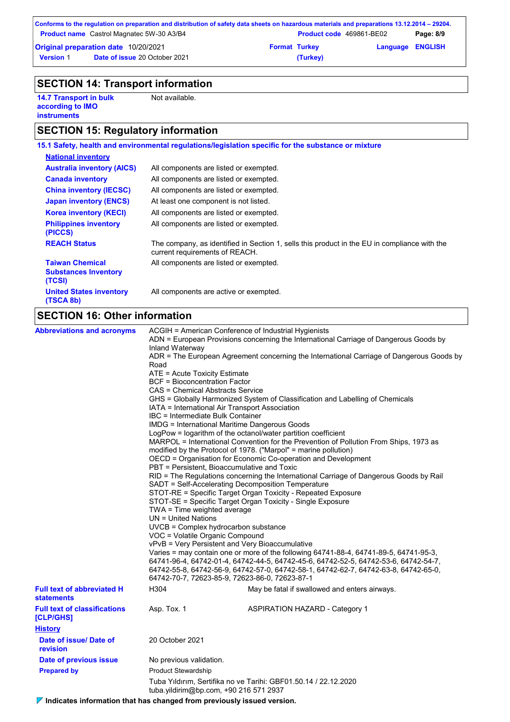|                                                  | Conforms to the regulation on preparation and distribution of safety data sheets on hazardous materials and preparations 13.12.2014 – 29204. |                          |          |                         |  |
|--------------------------------------------------|----------------------------------------------------------------------------------------------------------------------------------------------|--------------------------|----------|-------------------------|--|
| <b>Product name</b> Castrol Magnatec 5W-30 A3/B4 |                                                                                                                                              | Product code 469861-BE02 |          | Page: 8/9               |  |
| <b>Original preparation date 10/20/2021</b>      |                                                                                                                                              | <b>Format Turkey</b>     |          | <b>Language ENGLISH</b> |  |
| <b>Version 1</b>                                 | <b>Date of issue 20 October 2021</b>                                                                                                         |                          | (Turkey) |                         |  |

# **SECTION 14: Transport information**

**14.7 Transport in bulk according to IMO instruments**

Not available.

# **SECTION 15: Regulatory information**

|                                                                 | 15.1 Safety, health and environmental regulations/legislation specific for the substance or mixture                            |
|-----------------------------------------------------------------|--------------------------------------------------------------------------------------------------------------------------------|
| <b>National inventory</b>                                       |                                                                                                                                |
| <b>Australia inventory (AICS)</b>                               | All components are listed or exempted.                                                                                         |
| <b>Canada inventory</b>                                         | All components are listed or exempted.                                                                                         |
| <b>China inventory (IECSC)</b>                                  | All components are listed or exempted.                                                                                         |
| <b>Japan inventory (ENCS)</b>                                   | At least one component is not listed.                                                                                          |
| <b>Korea inventory (KECI)</b>                                   | All components are listed or exempted.                                                                                         |
| <b>Philippines inventory</b><br>(PICCS)                         | All components are listed or exempted.                                                                                         |
| <b>REACH Status</b>                                             | The company, as identified in Section 1, sells this product in the EU in compliance with the<br>current requirements of REACH. |
| <b>Taiwan Chemical</b><br><b>Substances Inventory</b><br>(TCSI) | All components are listed or exempted.                                                                                         |
| <b>United States inventory</b><br>(TSCA 8b)                     | All components are active or exempted.                                                                                         |
|                                                                 |                                                                                                                                |

# **SECTION 16: Other information**

| <b>Abbreviations and acronyms</b>                      | ACGIH = American Conference of Industrial Hygienists<br>ADN = European Provisions concerning the International Carriage of Dangerous Goods by<br>Inland Waterway<br>ADR = The European Agreement concerning the International Carriage of Dangerous Goods by<br>Road<br>ATE = Acute Toxicity Estimate<br><b>BCF</b> = Bioconcentration Factor<br>CAS = Chemical Abstracts Service<br>GHS = Globally Harmonized System of Classification and Labelling of Chemicals<br>IATA = International Air Transport Association<br>IBC = Intermediate Bulk Container<br><b>IMDG = International Maritime Dangerous Goods</b><br>LogPow = logarithm of the octanol/water partition coefficient<br>MARPOL = International Convention for the Prevention of Pollution From Ships, 1973 as<br>modified by the Protocol of 1978. ("Marpol" = marine pollution)<br>OECD = Organisation for Economic Co-operation and Development<br>PBT = Persistent, Bioaccumulative and Toxic<br>RID = The Regulations concerning the International Carriage of Dangerous Goods by Rail<br>SADT = Self-Accelerating Decomposition Temperature<br>STOT-RE = Specific Target Organ Toxicity - Repeated Exposure<br>STOT-SE = Specific Target Organ Toxicity - Single Exposure<br>TWA = Time weighted average<br>$UN = United Nations$<br>UVCB = Complex hydrocarbon substance<br>VOC = Volatile Organic Compound<br>vPvB = Very Persistent and Very Bioaccumulative<br>Varies = may contain one or more of the following $64741-88-4$ , $64741-89-5$ , $64741-95-3$ ,<br>64741-96-4, 64742-01-4, 64742-44-5, 64742-45-6, 64742-52-5, 64742-53-6, 64742-54-7,<br>64742-55-8, 64742-56-9, 64742-57-0, 64742-58-1, 64742-62-7, 64742-63-8, 64742-65-0,<br>64742-70-7, 72623-85-9, 72623-86-0, 72623-87-1<br>H304<br>May be fatal if swallowed and enters airways. |                                       |  |  |  |
|--------------------------------------------------------|-------------------------------------------------------------------------------------------------------------------------------------------------------------------------------------------------------------------------------------------------------------------------------------------------------------------------------------------------------------------------------------------------------------------------------------------------------------------------------------------------------------------------------------------------------------------------------------------------------------------------------------------------------------------------------------------------------------------------------------------------------------------------------------------------------------------------------------------------------------------------------------------------------------------------------------------------------------------------------------------------------------------------------------------------------------------------------------------------------------------------------------------------------------------------------------------------------------------------------------------------------------------------------------------------------------------------------------------------------------------------------------------------------------------------------------------------------------------------------------------------------------------------------------------------------------------------------------------------------------------------------------------------------------------------------------------------------------------------------------------------------------------------------------------------------------------------------|---------------------------------------|--|--|--|
| <b>Full text of abbreviated H</b><br><b>statements</b> |                                                                                                                                                                                                                                                                                                                                                                                                                                                                                                                                                                                                                                                                                                                                                                                                                                                                                                                                                                                                                                                                                                                                                                                                                                                                                                                                                                                                                                                                                                                                                                                                                                                                                                                                                                                                                               |                                       |  |  |  |
| <b>Full text of classifications</b><br>[CLP/GHS]       | Asp. Tox. 1                                                                                                                                                                                                                                                                                                                                                                                                                                                                                                                                                                                                                                                                                                                                                                                                                                                                                                                                                                                                                                                                                                                                                                                                                                                                                                                                                                                                                                                                                                                                                                                                                                                                                                                                                                                                                   | <b>ASPIRATION HAZARD - Category 1</b> |  |  |  |
| <b>History</b>                                         |                                                                                                                                                                                                                                                                                                                                                                                                                                                                                                                                                                                                                                                                                                                                                                                                                                                                                                                                                                                                                                                                                                                                                                                                                                                                                                                                                                                                                                                                                                                                                                                                                                                                                                                                                                                                                               |                                       |  |  |  |
| Date of issue/Date of<br>revision                      | 20 October 2021                                                                                                                                                                                                                                                                                                                                                                                                                                                                                                                                                                                                                                                                                                                                                                                                                                                                                                                                                                                                                                                                                                                                                                                                                                                                                                                                                                                                                                                                                                                                                                                                                                                                                                                                                                                                               |                                       |  |  |  |
| Date of previous issue                                 | No previous validation.                                                                                                                                                                                                                                                                                                                                                                                                                                                                                                                                                                                                                                                                                                                                                                                                                                                                                                                                                                                                                                                                                                                                                                                                                                                                                                                                                                                                                                                                                                                                                                                                                                                                                                                                                                                                       |                                       |  |  |  |
| <b>Prepared by</b>                                     | <b>Product Stewardship</b>                                                                                                                                                                                                                                                                                                                                                                                                                                                                                                                                                                                                                                                                                                                                                                                                                                                                                                                                                                                                                                                                                                                                                                                                                                                                                                                                                                                                                                                                                                                                                                                                                                                                                                                                                                                                    |                                       |  |  |  |
|                                                        | Tuba Yıldırım, Sertifika no ve Tarihi: GBF01.50.14 / 22.12.2020<br>tuba.yildirim@bp.com, +90 216 571 2937                                                                                                                                                                                                                                                                                                                                                                                                                                                                                                                                                                                                                                                                                                                                                                                                                                                                                                                                                                                                                                                                                                                                                                                                                                                                                                                                                                                                                                                                                                                                                                                                                                                                                                                     |                                       |  |  |  |

**Indicates information that has changed from previously issued version.**